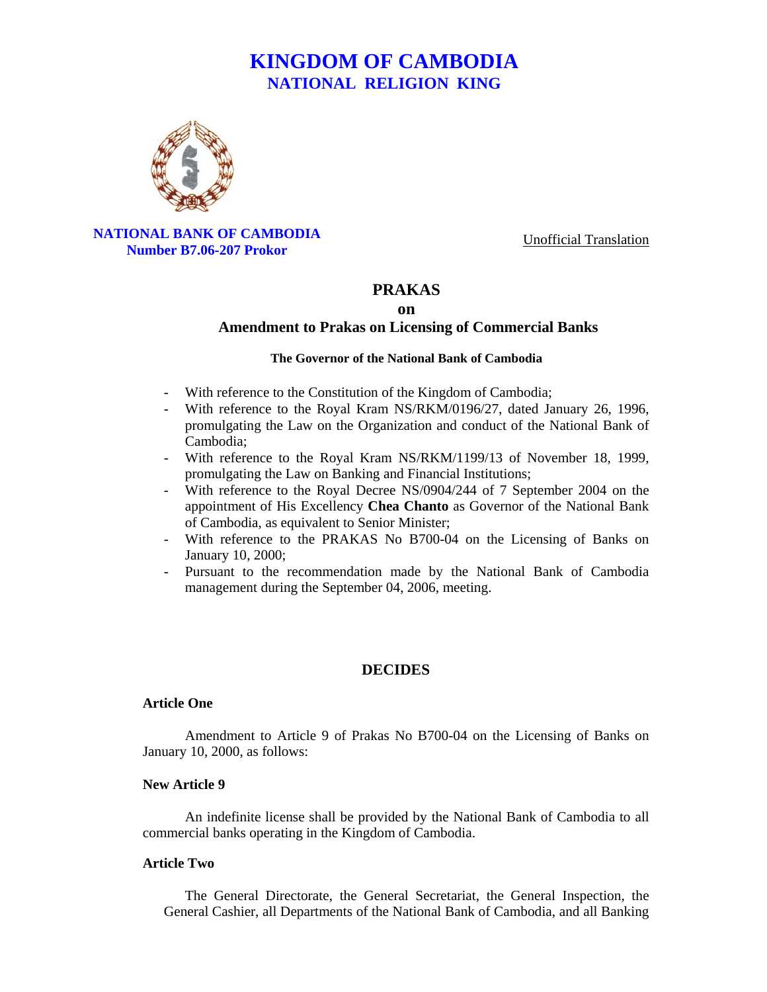

 **Number B7.06-207 Prokor NATIONAL BANK OF CAMBODIA** 

Unofficial Translation

## **PRAKAS**

#### **on**

#### **Amendment to Prakas on Licensing of Commercial Banks**

#### **The Governor of the National Bank of Cambodia**

- With reference to the Constitution of the Kingdom of Cambodia;
- With reference to the Royal Kram NS/RKM/0196/27, dated January 26, 1996, promulgating the Law on the Organization and conduct of the National Bank of Cambodia;
- With reference to the Royal Kram NS/RKM/1199/13 of November 18, 1999, promulgating the Law on Banking and Financial Institutions;
- With reference to the Royal Decree NS/0904/244 of 7 September 2004 on the appointment of His Excellency **Chea Chanto** as Governor of the National Bank of Cambodia, as equivalent to Senior Minister;
- With reference to the PRAKAS No B700-04 on the Licensing of Banks on January 10, 2000;
- Pursuant to the recommendation made by the National Bank of Cambodia management during the September 04, 2006, meeting.

#### **DECIDES**

#### **Article One**

Amendment to Article 9 of Prakas No B700-04 on the Licensing of Banks on January 10, 2000, as follows:

#### **New Article 9**

An indefinite license shall be provided by the National Bank of Cambodia to all commercial banks operating in the Kingdom of Cambodia.

#### **Article Two**

 The General Directorate, the General Secretariat, the General Inspection, the General Cashier, all Departments of the National Bank of Cambodia, and all Banking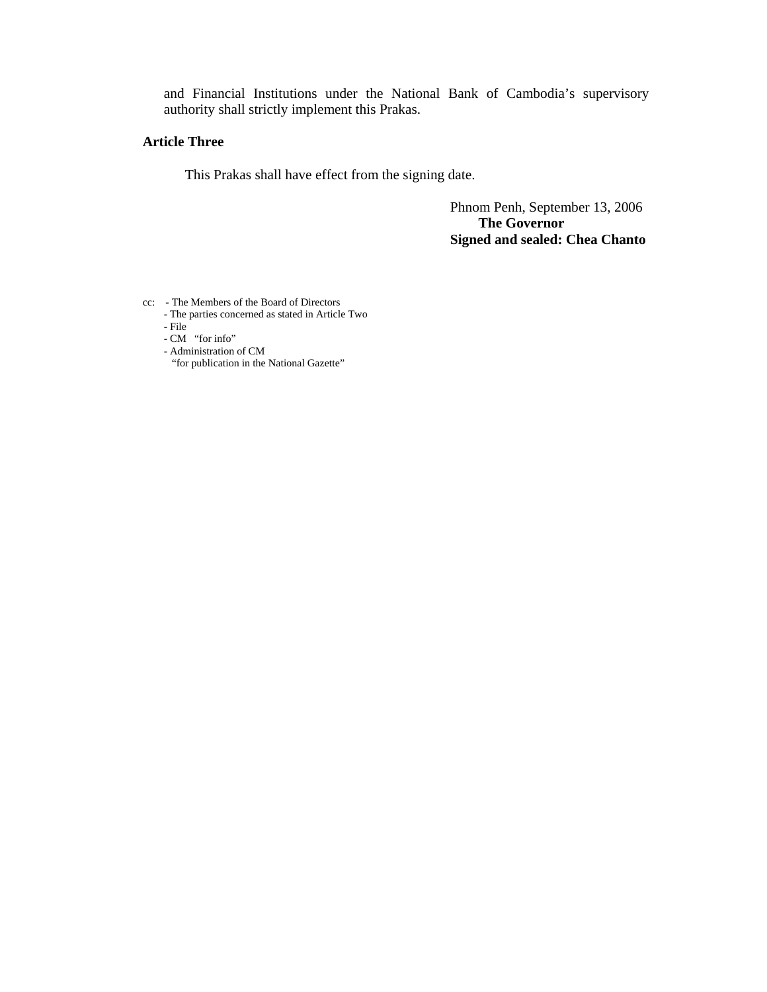and Financial Institutions under the National Bank of Cambodia's supervisory authority shall strictly implement this Prakas.

## **Article Three**

This Prakas shall have effect from the signing date.

 Phnom Penh, September 13, 2006  **The Governor Signed and sealed: Chea Chanto** 

- cc: The Members of the Board of Directors
	- The parties concerned as stated in Article Two
	- File - CM "for info"
- Administration of CM
- "for publication in the National Gazette"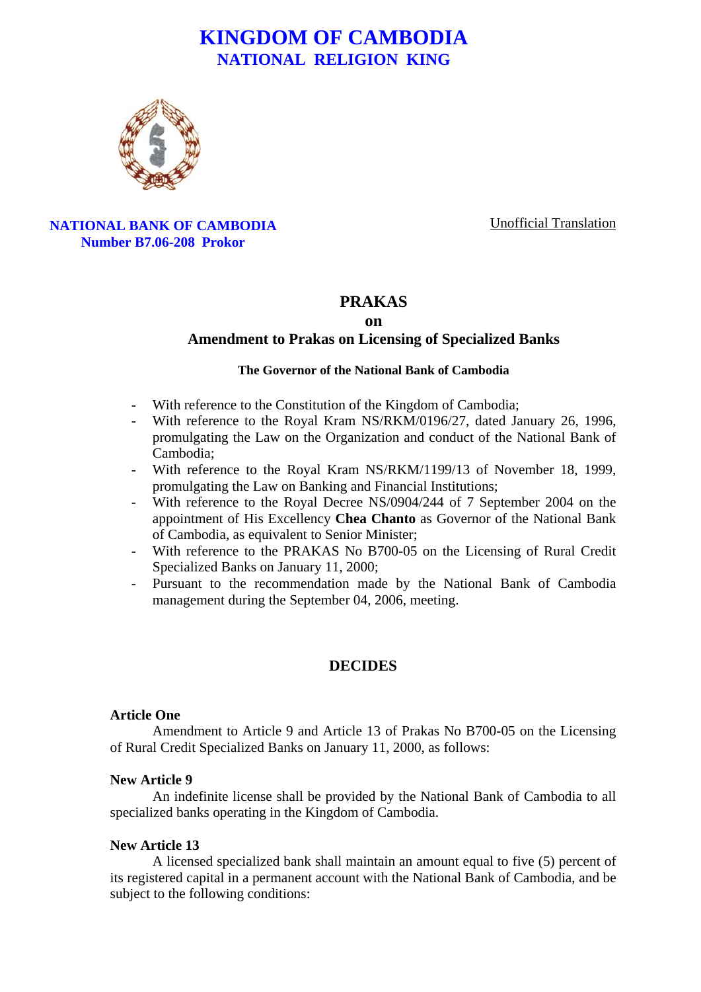

**NATIONAL BANK OF CAMBODIA Unofficial Translation Number B7.06-208 Prokor**

# **PRAKAS**

#### **on**

## **Amendment to Prakas on Licensing of Specialized Banks**

#### **The Governor of the National Bank of Cambodia**

- With reference to the Constitution of the Kingdom of Cambodia;
- With reference to the Royal Kram NS/RKM/0196/27, dated January 26, 1996, promulgating the Law on the Organization and conduct of the National Bank of Cambodia;
- With reference to the Royal Kram NS/RKM/1199/13 of November 18, 1999, promulgating the Law on Banking and Financial Institutions;
- With reference to the Royal Decree NS/0904/244 of 7 September 2004 on the appointment of His Excellency **Chea Chanto** as Governor of the National Bank of Cambodia, as equivalent to Senior Minister;
- With reference to the PRAKAS No B700-05 on the Licensing of Rural Credit Specialized Banks on January 11, 2000;
- Pursuant to the recommendation made by the National Bank of Cambodia management during the September 04, 2006, meeting.

#### **DECIDES**

#### **Article One**

Amendment to Article 9 and Article 13 of Prakas No B700-05 on the Licensing of Rural Credit Specialized Banks on January 11, 2000, as follows:

#### **New Article 9**

An indefinite license shall be provided by the National Bank of Cambodia to all specialized banks operating in the Kingdom of Cambodia.

#### **New Article 13**

A licensed specialized bank shall maintain an amount equal to five (5) percent of its registered capital in a permanent account with the National Bank of Cambodia, and be subject to the following conditions: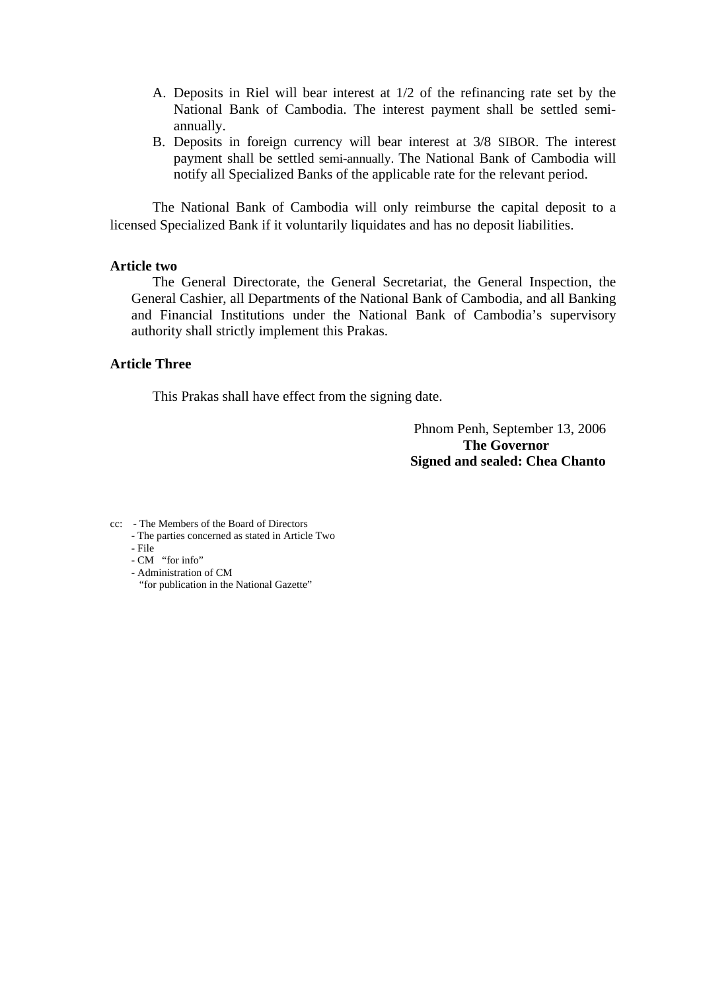- A. Deposits in Riel will bear interest at 1/2 of the refinancing rate set by the National Bank of Cambodia. The interest payment shall be settled semiannually.
- B. Deposits in foreign currency will bear interest at 3/8 SIBOR. The interest payment shall be settled semi-annually. The National Bank of Cambodia will notify all Specialized Banks of the applicable rate for the relevant period.

The National Bank of Cambodia will only reimburse the capital deposit to a licensed Specialized Bank if it voluntarily liquidates and has no deposit liabilities.

#### **Article two**

 The General Directorate, the General Secretariat, the General Inspection, the General Cashier, all Departments of the National Bank of Cambodia, and all Banking and Financial Institutions under the National Bank of Cambodia's supervisory authority shall strictly implement this Prakas.

## **Article Three**

This Prakas shall have effect from the signing date.

 Phnom Penh, September 13, 2006  **The Governor Signed and sealed: Chea Chanto** 

- cc: The Members of the Board of Directors
	- The parties concerned as stated in Article Two
	- File
	- CM "for info" - Administration of CM
	- "for publication in the National Gazette"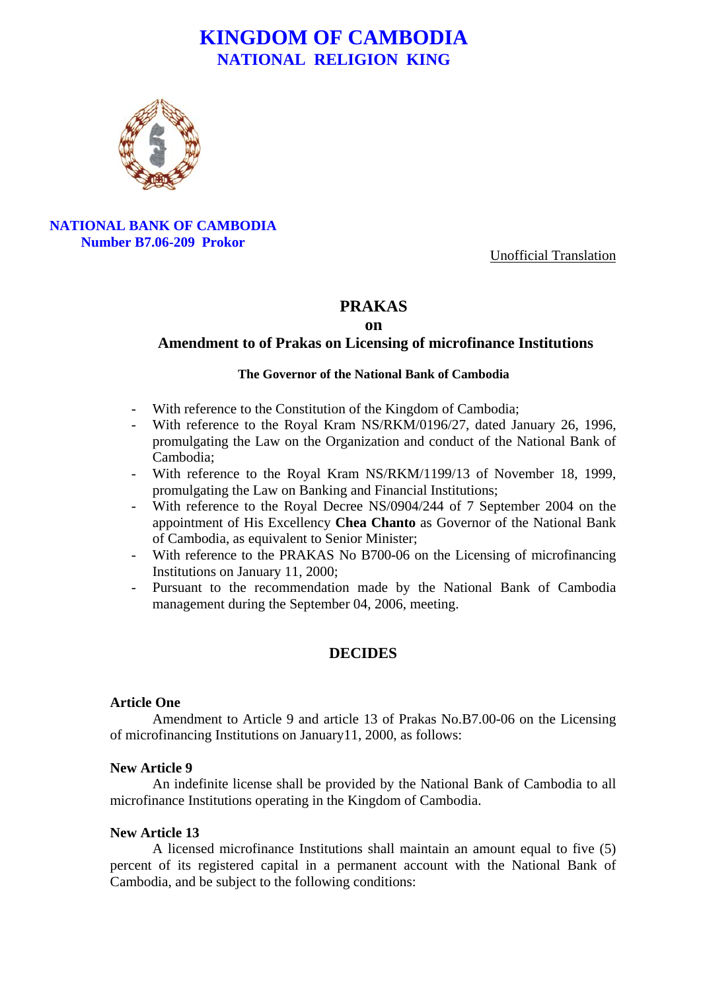

**NATIONAL BANK OF CAMBODIA Number B7.06-209 Prokor**

Unofficial Translation

# **PRAKAS**

#### **on**

# **Amendment to of Prakas on Licensing of microfinance Institutions**

#### **The Governor of the National Bank of Cambodia**

- With reference to the Constitution of the Kingdom of Cambodia;
- With reference to the Royal Kram NS/RKM/0196/27, dated January 26, 1996, promulgating the Law on the Organization and conduct of the National Bank of Cambodia;
- With reference to the Royal Kram NS/RKM/1199/13 of November 18, 1999, promulgating the Law on Banking and Financial Institutions;
- With reference to the Royal Decree NS/0904/244 of 7 September 2004 on the appointment of His Excellency **Chea Chanto** as Governor of the National Bank of Cambodia, as equivalent to Senior Minister;
- With reference to the PRAKAS No B700-06 on the Licensing of microfinancing Institutions on January 11, 2000;
- Pursuant to the recommendation made by the National Bank of Cambodia management during the September 04, 2006, meeting.

# **DECIDES**

#### **Article One**

Amendment to Article 9 and article 13 of Prakas No.B7.00-06 on the Licensing of microfinancing Institutions on January11, 2000, as follows:

#### **New Article 9**

An indefinite license shall be provided by the National Bank of Cambodia to all microfinance Institutions operating in the Kingdom of Cambodia.

# **New Article 13**

A licensed microfinance Institutions shall maintain an amount equal to five (5) percent of its registered capital in a permanent account with the National Bank of Cambodia, and be subject to the following conditions: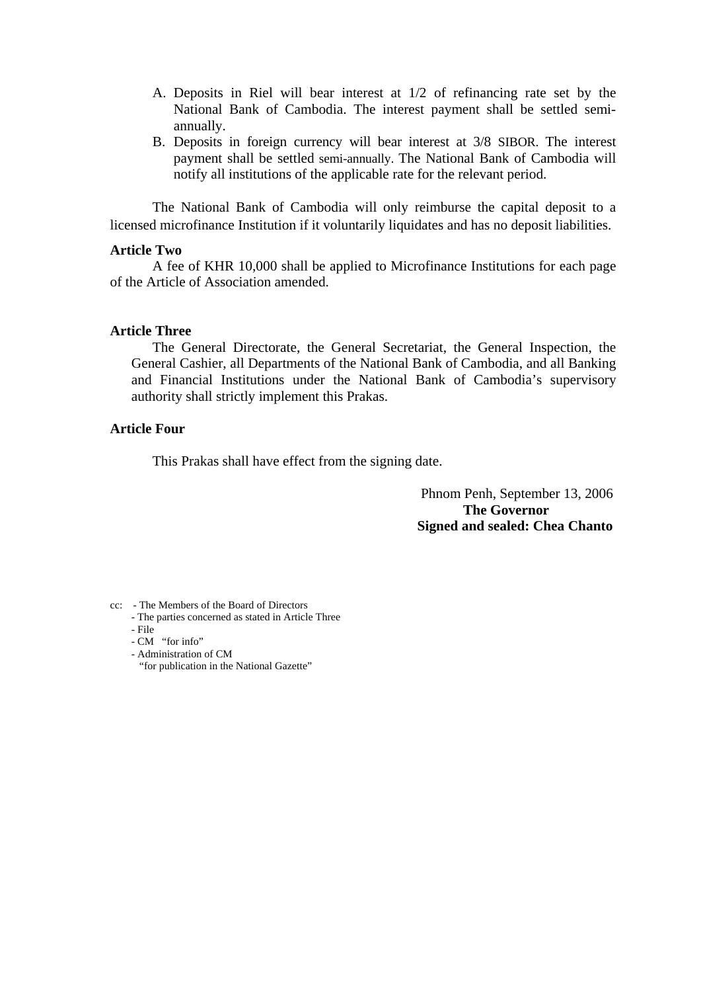- A. Deposits in Riel will bear interest at 1/2 of refinancing rate set by the National Bank of Cambodia. The interest payment shall be settled semiannually.
- B. Deposits in foreign currency will bear interest at 3/8 SIBOR. The interest payment shall be settled semi-annually. The National Bank of Cambodia will notify all institutions of the applicable rate for the relevant period.

The National Bank of Cambodia will only reimburse the capital deposit to a licensed microfinance Institution if it voluntarily liquidates and has no deposit liabilities.

#### **Article Two**

A fee of KHR 10,000 shall be applied to Microfinance Institutions for each page of the Article of Association amended.

#### **Article Three**

 The General Directorate, the General Secretariat, the General Inspection, the General Cashier, all Departments of the National Bank of Cambodia, and all Banking and Financial Institutions under the National Bank of Cambodia's supervisory authority shall strictly implement this Prakas.

# **Article Four**

This Prakas shall have effect from the signing date.

 Phnom Penh, September 13, 2006  **The Governor Signed and sealed: Chea Chanto** 

cc: - The Members of the Board of Directors

- The parties concerned as stated in Article Three
- File
- CM "for info" - Administration of CM

"for publication in the National Gazette"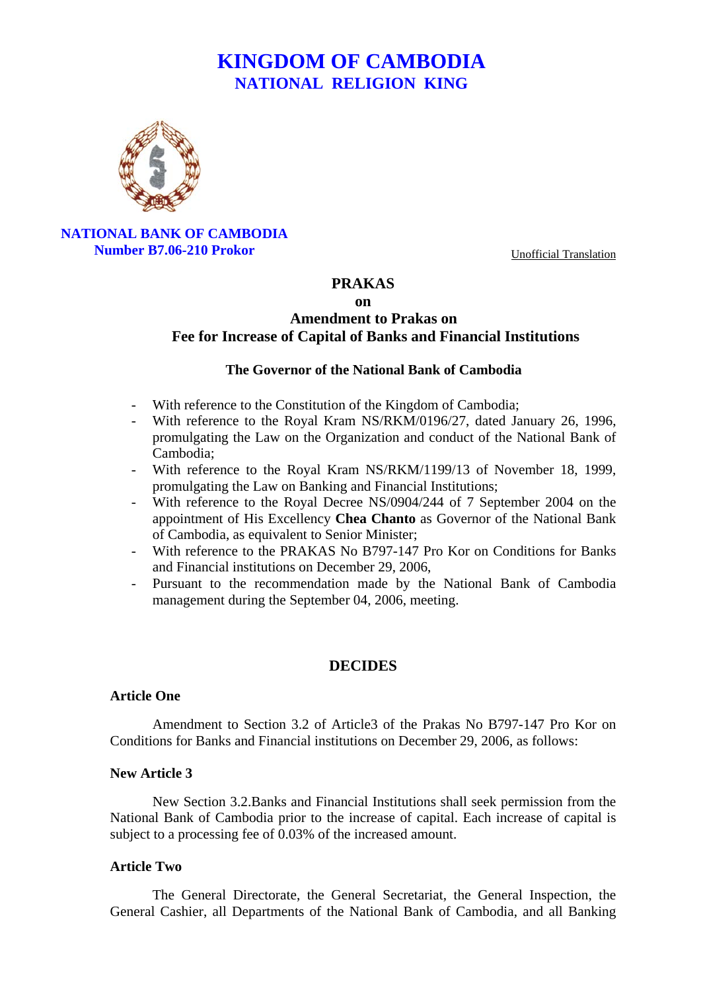

**NATIONAL BANK OF CAMBODIA Number B7.06-210 Prokor** Unofficial Translation

## **PRAKAS**

**on** 

# **Amendment to Prakas on Fee for Increase of Capital of Banks and Financial Institutions**

# **The Governor of the National Bank of Cambodia**

- With reference to the Constitution of the Kingdom of Cambodia;
- With reference to the Royal Kram NS/RKM/0196/27, dated January 26, 1996, promulgating the Law on the Organization and conduct of the National Bank of Cambodia;
- With reference to the Royal Kram NS/RKM/1199/13 of November 18, 1999, promulgating the Law on Banking and Financial Institutions;
- With reference to the Royal Decree NS/0904/244 of 7 September 2004 on the appointment of His Excellency **Chea Chanto** as Governor of the National Bank of Cambodia, as equivalent to Senior Minister;
- With reference to the PRAKAS No B797-147 Pro Kor on Conditions for Banks and Financial institutions on December 29, 2006,
- Pursuant to the recommendation made by the National Bank of Cambodia management during the September 04, 2006, meeting.

# **DECIDES**

# **Article One**

Amendment to Section 3.2 of Article3 of the Prakas No B797-147 Pro Kor on Conditions for Banks and Financial institutions on December 29, 2006, as follows:

# **New Article 3**

New Section 3.2.Banks and Financial Institutions shall seek permission from the National Bank of Cambodia prior to the increase of capital. Each increase of capital is subject to a processing fee of 0.03% of the increased amount.

#### **Article Two**

 The General Directorate, the General Secretariat, the General Inspection, the General Cashier, all Departments of the National Bank of Cambodia, and all Banking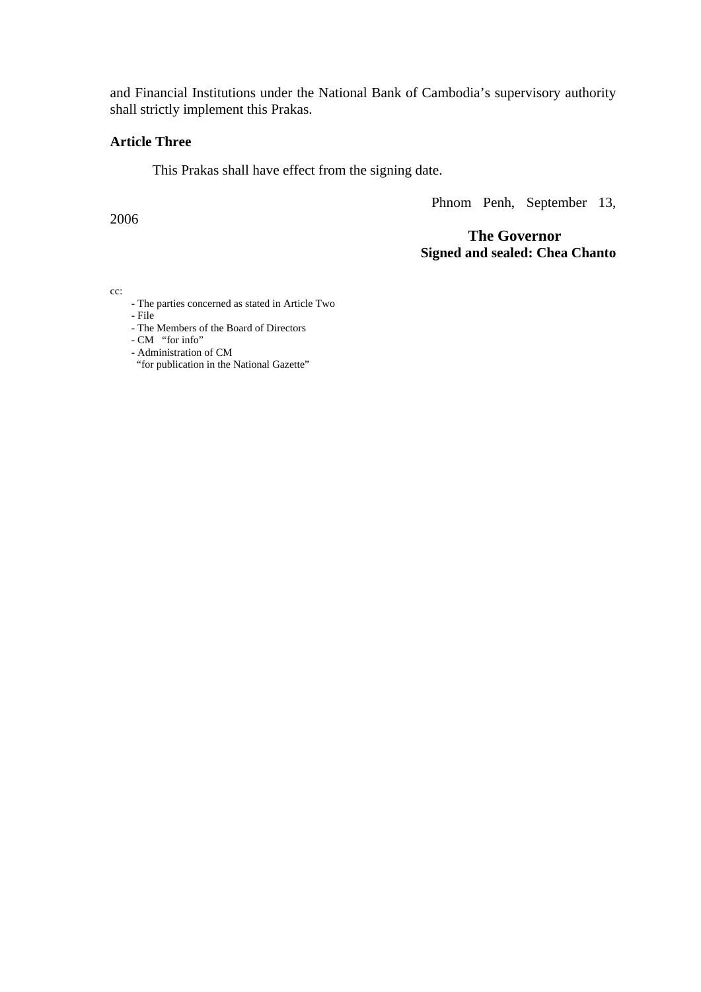and Financial Institutions under the National Bank of Cambodia's supervisory authority shall strictly implement this Prakas.

# **Article Three**

This Prakas shall have effect from the signing date.

2006

# Phnom Penh, September 13,

 **The Governor Signed and sealed: Chea Chanto**

cc:

- The parties concerned as stated in Article Two
- File - The Members of the Board of Directors
- CM "for info"
- Administration of CM
- "for publication in the National Gazette"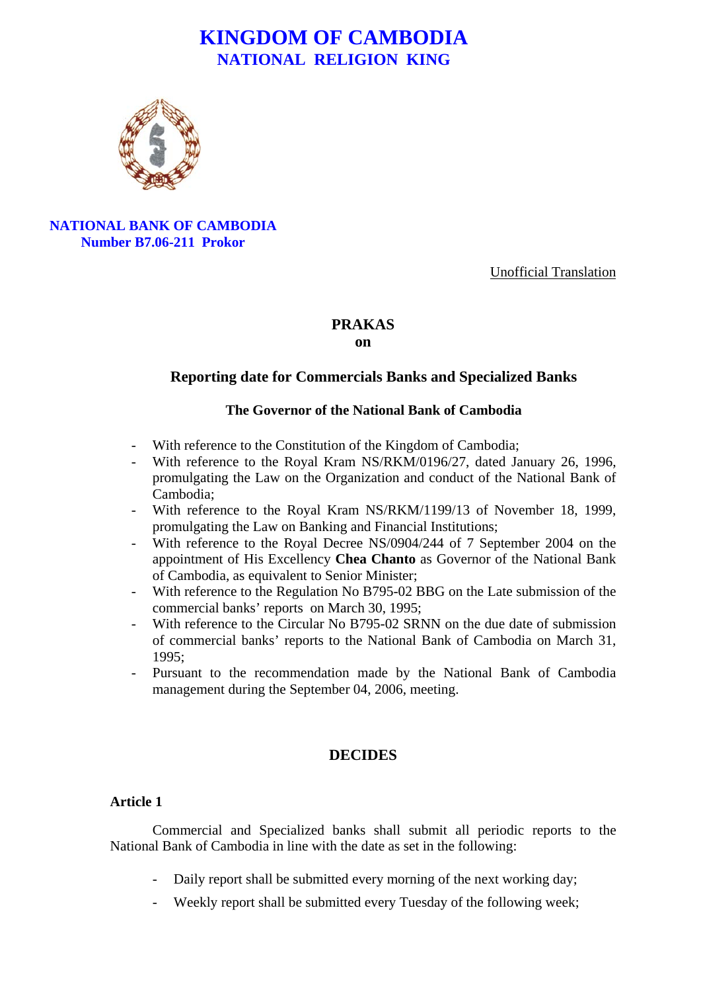

**NATIONAL BANK OF CAMBODIA Number B7.06-211 Prokor**

Unofficial Translation

# **PRAKAS**

**on** 

## **Reporting date for Commercials Banks and Specialized Banks**

# **The Governor of the National Bank of Cambodia**

- With reference to the Constitution of the Kingdom of Cambodia;
- With reference to the Royal Kram NS/RKM/0196/27, dated January 26, 1996, promulgating the Law on the Organization and conduct of the National Bank of Cambodia;
- With reference to the Royal Kram NS/RKM/1199/13 of November 18, 1999, promulgating the Law on Banking and Financial Institutions;
- With reference to the Royal Decree NS/0904/244 of 7 September 2004 on the appointment of His Excellency **Chea Chanto** as Governor of the National Bank of Cambodia, as equivalent to Senior Minister;
- With reference to the Regulation No B795-02 BBG on the Late submission of the commercial banks' reports on March 30, 1995;
- With reference to the Circular No B795-02 SRNN on the due date of submission of commercial banks' reports to the National Bank of Cambodia on March 31, 1995;
- Pursuant to the recommendation made by the National Bank of Cambodia management during the September 04, 2006, meeting.

# **DECIDES**

# **Article 1**

Commercial and Specialized banks shall submit all periodic reports to the National Bank of Cambodia in line with the date as set in the following:

- Daily report shall be submitted every morning of the next working day;
- Weekly report shall be submitted every Tuesday of the following week;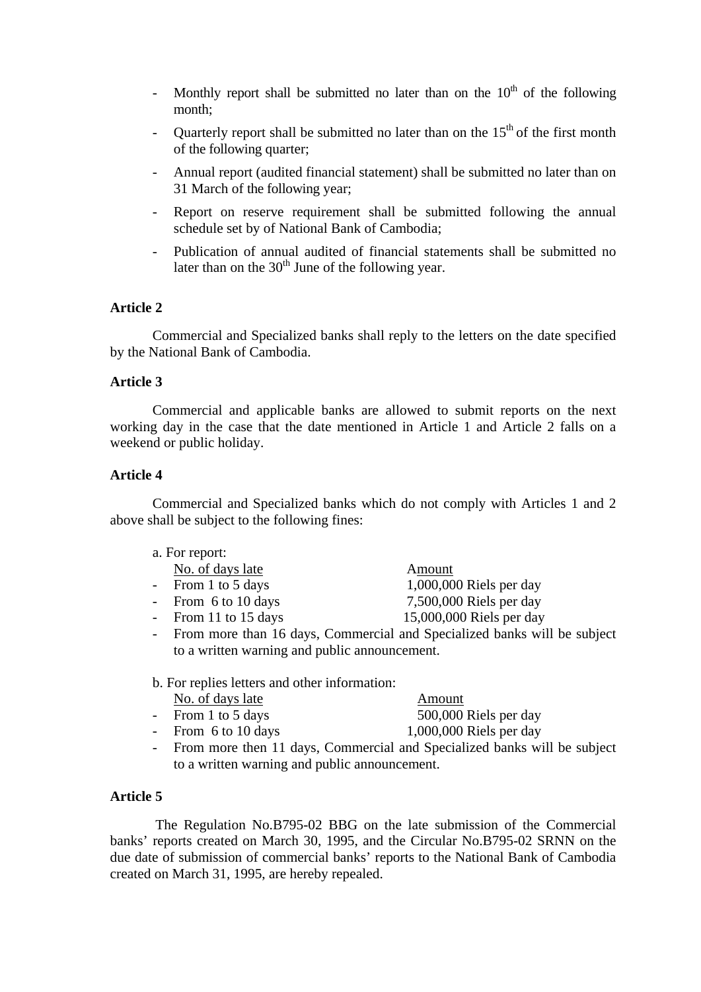- Monthly report shall be submitted no later than on the  $10<sup>th</sup>$  of the following month;
- Quarterly report shall be submitted no later than on the  $15<sup>th</sup>$  of the first month of the following quarter;
- Annual report (audited financial statement) shall be submitted no later than on 31 March of the following year;
- Report on reserve requirement shall be submitted following the annual schedule set by of National Bank of Cambodia;
- Publication of annual audited of financial statements shall be submitted no later than on the  $30<sup>th</sup>$  June of the following year.

Commercial and Specialized banks shall reply to the letters on the date specified by the National Bank of Cambodia.

## **Article 3**

Commercial and applicable banks are allowed to submit reports on the next working day in the case that the date mentioned in Article 1 and Article 2 falls on a weekend or public holiday.

## **Article 4**

Commercial and Specialized banks which do not comply with Articles 1 and 2 above shall be subject to the following fines:

| a. For report: |                                                                            |                          |  |  |  |  |  |
|----------------|----------------------------------------------------------------------------|--------------------------|--|--|--|--|--|
|                | No. of days late                                                           | Amount                   |  |  |  |  |  |
|                | - From 1 to 5 days                                                         | 1,000,000 Riels per day  |  |  |  |  |  |
|                | - From 6 to 10 days                                                        | 7,500,000 Riels per day  |  |  |  |  |  |
|                | - From 11 to 15 days                                                       | 15,000,000 Riels per day |  |  |  |  |  |
|                | - From more than 16 days, Commercial and Specialized banks will be subject |                          |  |  |  |  |  |
|                | to a written warning and public announcement.                              |                          |  |  |  |  |  |
|                |                                                                            |                          |  |  |  |  |  |

b. For replies letters and other information:

| No. of days late                       | Amount                                                  |
|----------------------------------------|---------------------------------------------------------|
| - From 1 to 5 days                     | 500,000 Riels per day                                   |
| - From $6 \text{ to } 10 \text{ days}$ | $1,000,000$ Riels per day                               |
|                                        | $\sim$ $\sim$ $\sim$ $\sim$ $\sim$ $\sim$ $\sim$ $\sim$ |

From more then 11 days, Commercial and Specialized banks will be subject to a written warning and public announcement.

# **Article 5**

The Regulation No.B795-02 BBG on the late submission of the Commercial banks' reports created on March 30, 1995, and the Circular No.B795-02 SRNN on the due date of submission of commercial banks' reports to the National Bank of Cambodia created on March 31, 1995, are hereby repealed.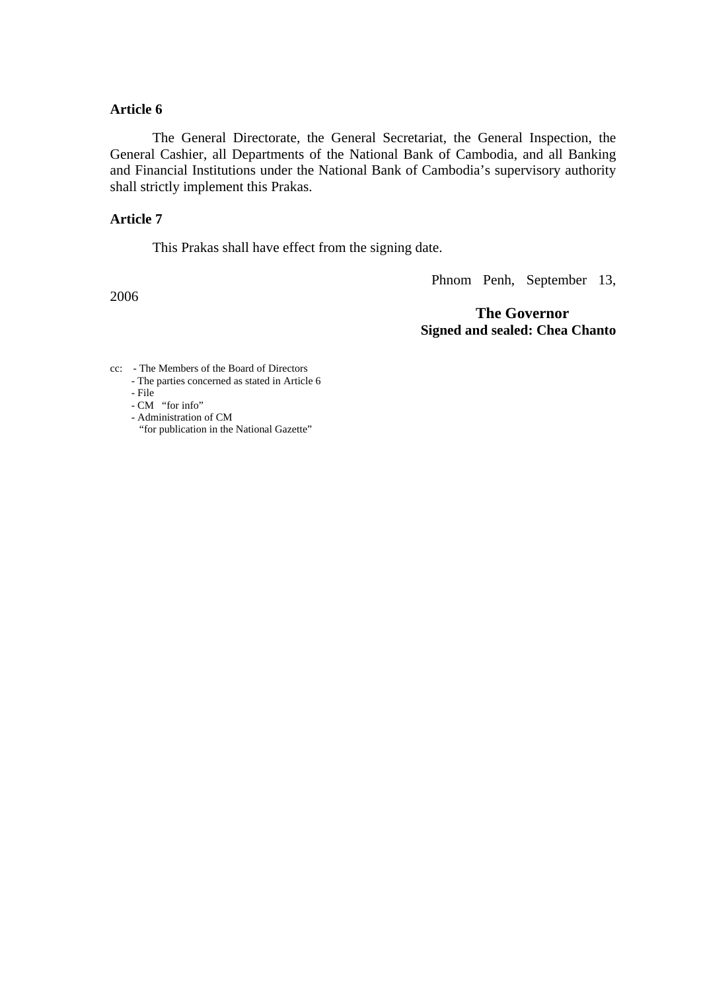The General Directorate, the General Secretariat, the General Inspection, the General Cashier, all Departments of the National Bank of Cambodia, and all Banking and Financial Institutions under the National Bank of Cambodia's supervisory authority shall strictly implement this Prakas.

## **Article 7**

This Prakas shall have effect from the signing date.

Phnom Penh, September 13,

2006

# **The Governor Signed and sealed: Chea Chanto**

- cc: The Members of the Board of Directors
	- The parties concerned as stated in Article 6
	- File
	- CM "for info"
	- Administration of CM
		- "for publication in the National Gazette"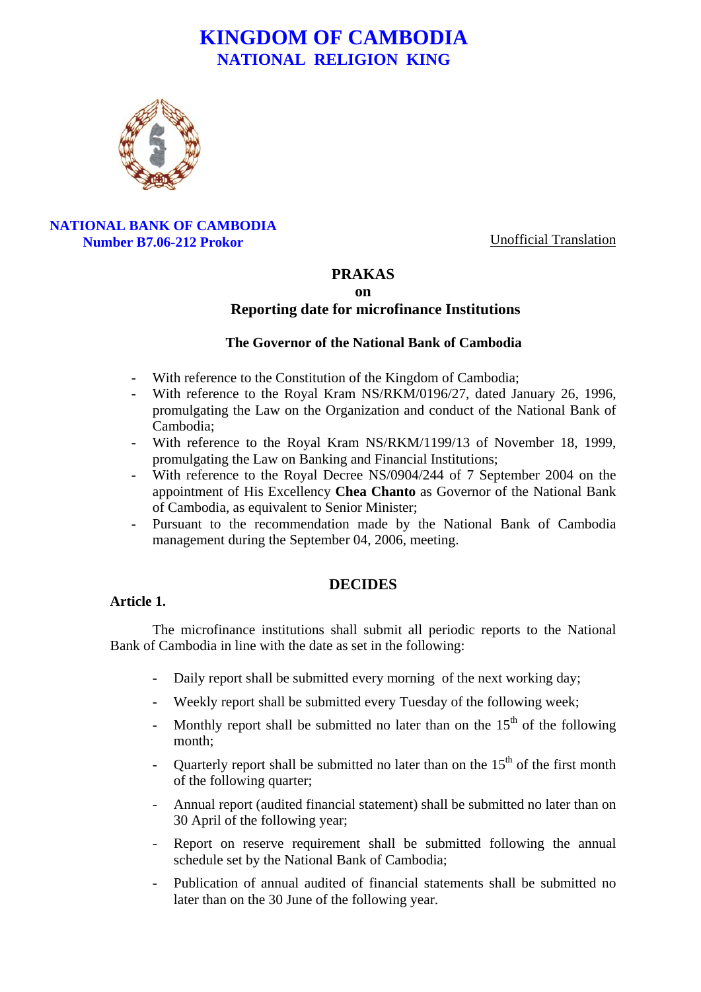

# **NATIONAL BANK OF CAMBODIA Number B7.06-212 Prokor** Unofficial Translation

# **PRAKAS**

**on** 

# **Reporting date for microfinance Institutions**

# **The Governor of the National Bank of Cambodia**

- With reference to the Constitution of the Kingdom of Cambodia;
- With reference to the Royal Kram NS/RKM/0196/27, dated January 26, 1996, promulgating the Law on the Organization and conduct of the National Bank of Cambodia;
- With reference to the Royal Kram NS/RKM/1199/13 of November 18, 1999, promulgating the Law on Banking and Financial Institutions;
- With reference to the Royal Decree NS/0904/244 of 7 September 2004 on the appointment of His Excellency **Chea Chanto** as Governor of the National Bank of Cambodia, as equivalent to Senior Minister;
- Pursuant to the recommendation made by the National Bank of Cambodia management during the September 04, 2006, meeting.

# **DECIDES**

# **Article 1.**

The microfinance institutions shall submit all periodic reports to the National Bank of Cambodia in line with the date as set in the following:

- Daily report shall be submitted every morning of the next working day;
- Weekly report shall be submitted every Tuesday of the following week;
- Monthly report shall be submitted no later than on the  $15<sup>th</sup>$  of the following month;
- Quarterly report shall be submitted no later than on the  $15<sup>th</sup>$  of the first month of the following quarter;
- Annual report (audited financial statement) shall be submitted no later than on 30 April of the following year;
- Report on reserve requirement shall be submitted following the annual schedule set by the National Bank of Cambodia;
- Publication of annual audited of financial statements shall be submitted no later than on the 30 June of the following year.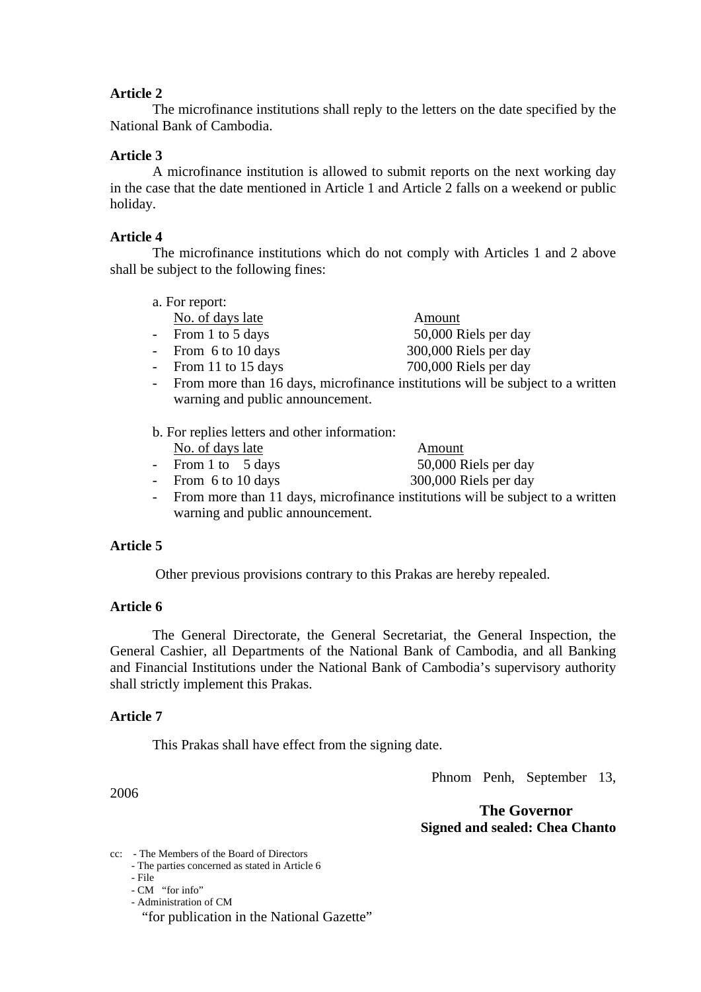The microfinance institutions shall reply to the letters on the date specified by the National Bank of Cambodia.

# **Article 3**

A microfinance institution is allowed to submit reports on the next working day in the case that the date mentioned in Article 1 and Article 2 falls on a weekend or public holiday.

## **Article 4**

The microfinance institutions which do not comply with Articles 1 and 2 above shall be subject to the following fines:

| a. For report: |                                                                                  |                       |  |  |  |  |
|----------------|----------------------------------------------------------------------------------|-----------------------|--|--|--|--|
|                | No. of days late                                                                 | Amount                |  |  |  |  |
|                | - From 1 to 5 days                                                               | 50,000 Riels per day  |  |  |  |  |
|                | - From $6$ to $10$ days                                                          | 300,000 Riels per day |  |  |  |  |
|                | - From 11 to 15 days                                                             | 700,000 Riels per day |  |  |  |  |
|                | - From more than 16 days, microfinance institutions will be subject to a written |                       |  |  |  |  |

b. For replies letters and other information:

warning and public announcement.

Amount - From 1 to 5 days 50,000 Riels per day

- From 6 to 10 days 300,000 Riels per day

- From more than 11 days, microfinance institutions will be subject to a written warning and public announcement.

# **Article 5**

Other previous provisions contrary to this Prakas are hereby repealed.

# **Article 6**

 The General Directorate, the General Secretariat, the General Inspection, the General Cashier, all Departments of the National Bank of Cambodia, and all Banking and Financial Institutions under the National Bank of Cambodia's supervisory authority shall strictly implement this Prakas.

#### **Article 7**

This Prakas shall have effect from the signing date.

Phnom Penh, September 13,

2006

# **The Governor Signed and sealed: Chea Chanto**

- cc: The Members of the Board of Directors
	- The parties concerned as stated in Article 6
	- File
	- CM "for info" - Administration of CM
		- "for publication in the National Gazette"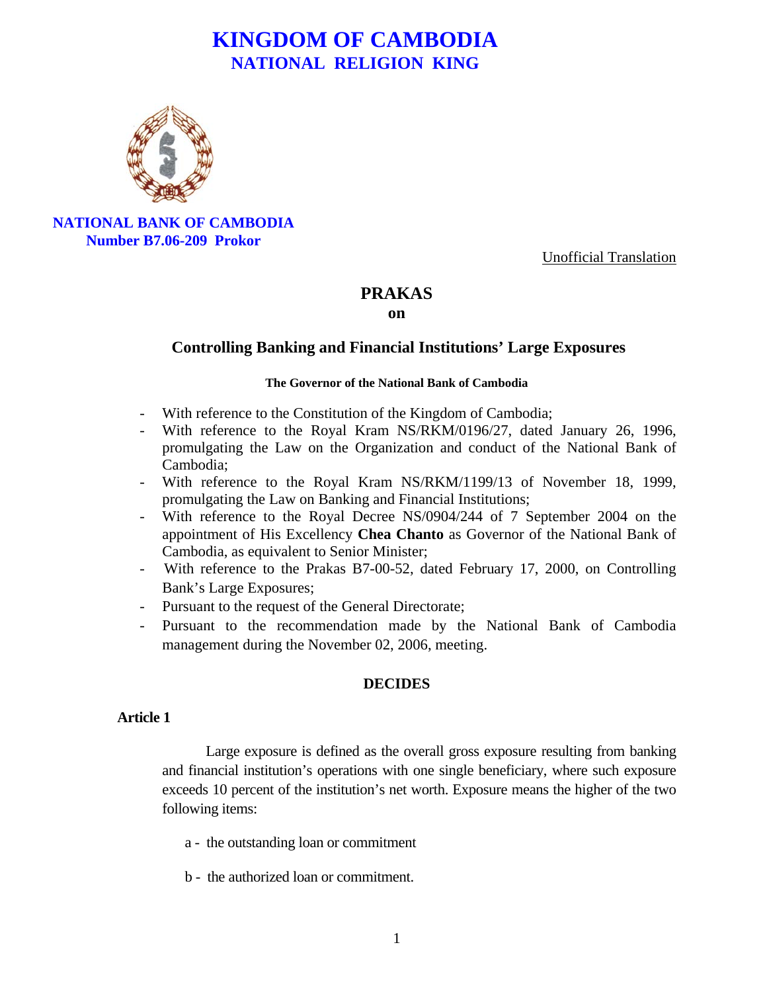

**NATIONAL BANK OF CAMBODIA Number B7.06-209 Prokor**

Unofficial Translation

# **PRAKAS on**

# **Controlling Banking and Financial Institutions' Large Exposures**

#### **The Governor of the National Bank of Cambodia**

- With reference to the Constitution of the Kingdom of Cambodia;
- With reference to the Royal Kram NS/RKM/0196/27, dated January 26, 1996, promulgating the Law on the Organization and conduct of the National Bank of Cambodia;
- With reference to the Royal Kram NS/RKM/1199/13 of November 18, 1999, promulgating the Law on Banking and Financial Institutions;
- With reference to the Royal Decree NS/0904/244 of 7 September 2004 on the appointment of His Excellency **Chea Chanto** as Governor of the National Bank of Cambodia, as equivalent to Senior Minister;
- With reference to the Prakas B7-00-52, dated February 17, 2000, on Controlling Bank's Large Exposures;
- Pursuant to the request of the General Directorate;
- Pursuant to the recommendation made by the National Bank of Cambodia management during the November 02, 2006, meeting.

#### **DECIDES**

## **Article 1**

Large exposure is defined as the overall gross exposure resulting from banking and financial institution's operations with one single beneficiary, where such exposure exceeds 10 percent of the institution's net worth. Exposure means the higher of the two following items:

a - the outstanding loan or commitment

b - the authorized loan or commitment.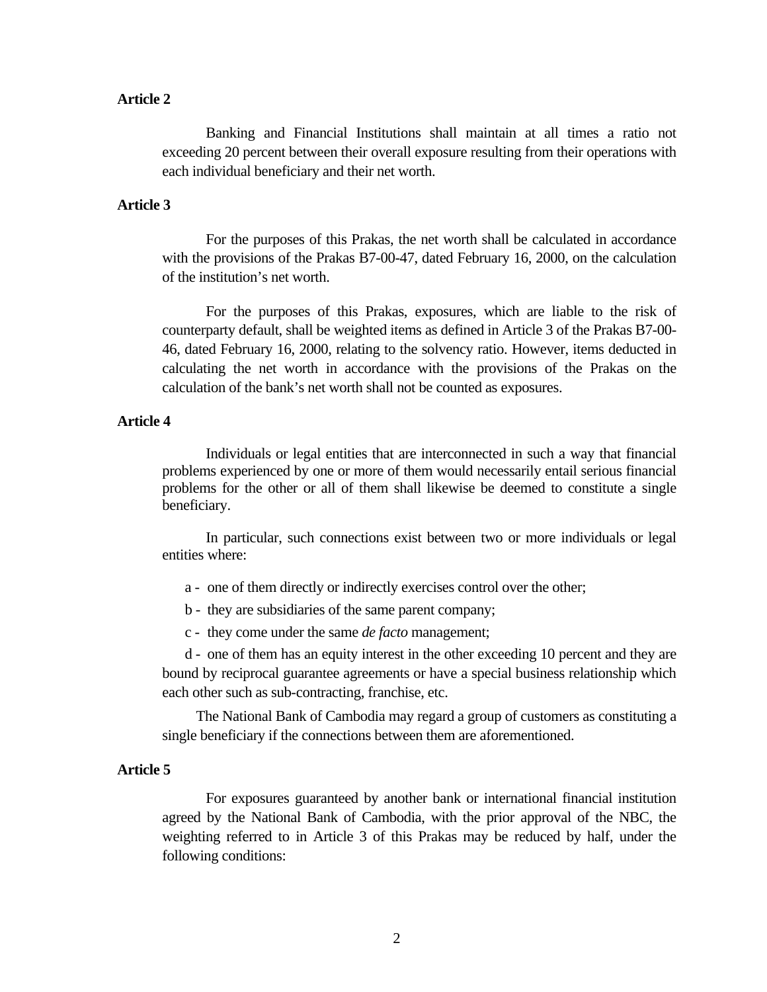Banking and Financial Institutions shall maintain at all times a ratio not exceeding 20 percent between their overall exposure resulting from their operations with each individual beneficiary and their net worth.

#### **Article 3**

For the purposes of this Prakas, the net worth shall be calculated in accordance with the provisions of the Prakas B7-00-47, dated February 16, 2000, on the calculation of the institution's net worth.

For the purposes of this Prakas, exposures, which are liable to the risk of counterparty default, shall be weighted items as defined in Article 3 of the Prakas B7-00- 46, dated February 16, 2000, relating to the solvency ratio. However, items deducted in calculating the net worth in accordance with the provisions of the Prakas on the calculation of the bank's net worth shall not be counted as exposures.

#### **Article 4**

Individuals or legal entities that are interconnected in such a way that financial problems experienced by one or more of them would necessarily entail serious financial problems for the other or all of them shall likewise be deemed to constitute a single beneficiary.

In particular, such connections exist between two or more individuals or legal entities where:

a - one of them directly or indirectly exercises control over the other;

b - they are subsidiaries of the same parent company;

c - they come under the same *de facto* management;

 d - one of them has an equity interest in the other exceeding 10 percent and they are bound by reciprocal guarantee agreements or have a special business relationship which each other such as sub-contracting, franchise, etc.

The National Bank of Cambodia may regard a group of customers as constituting a single beneficiary if the connections between them are aforementioned.

#### **Article 5**

For exposures guaranteed by another bank or international financial institution agreed by the National Bank of Cambodia, with the prior approval of the NBC, the weighting referred to in Article 3 of this Prakas may be reduced by half, under the following conditions: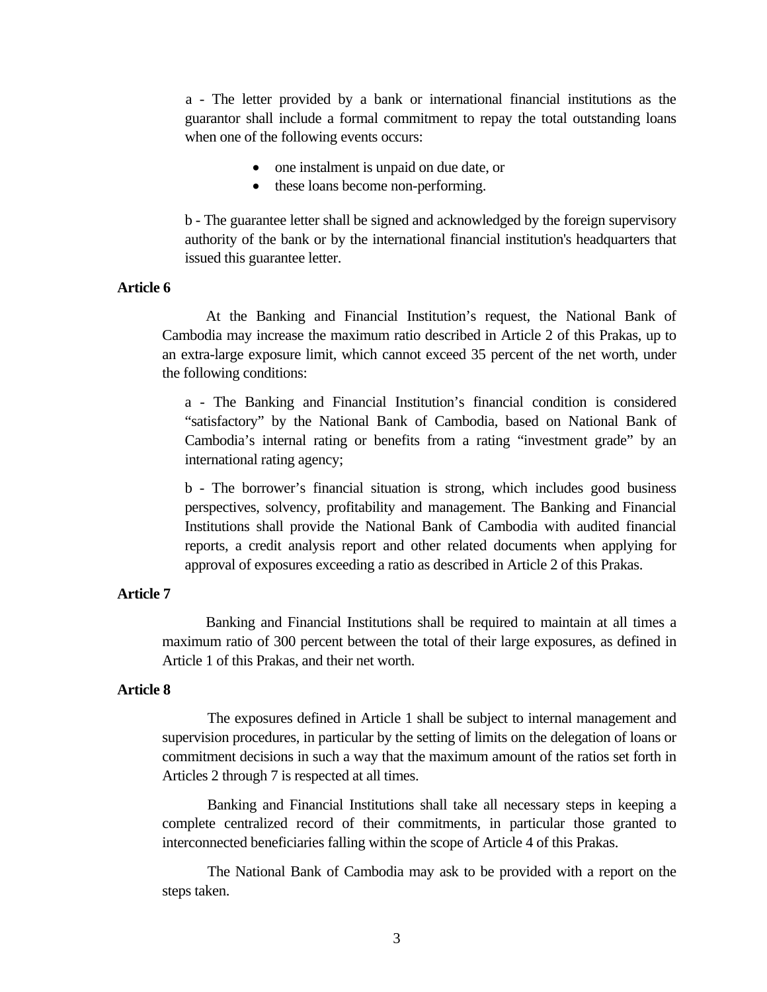a - The letter provided by a bank or international financial institutions as the guarantor shall include a formal commitment to repay the total outstanding loans when one of the following events occurs:

- one instalment is unpaid on due date, or
- these loans become non-performing.

b - The guarantee letter shall be signed and acknowledged by the foreign supervisory authority of the bank or by the international financial institution's headquarters that issued this guarantee letter.

#### **Article 6**

At the Banking and Financial Institution's request, the National Bank of Cambodia may increase the maximum ratio described in Article 2 of this Prakas, up to an extra-large exposure limit, which cannot exceed 35 percent of the net worth, under the following conditions:

a - The Banking and Financial Institution's financial condition is considered "satisfactory" by the National Bank of Cambodia, based on National Bank of Cambodia's internal rating or benefits from a rating "investment grade" by an international rating agency;

b - The borrower's financial situation is strong, which includes good business perspectives, solvency, profitability and management. The Banking and Financial Institutions shall provide the National Bank of Cambodia with audited financial reports, a credit analysis report and other related documents when applying for approval of exposures exceeding a ratio as described in Article 2 of this Prakas.

#### **Article 7**

Banking and Financial Institutions shall be required to maintain at all times a maximum ratio of 300 percent between the total of their large exposures, as defined in Article 1 of this Prakas, and their net worth.

## **Article 8**

 The exposures defined in Article 1 shall be subject to internal management and supervision procedures, in particular by the setting of limits on the delegation of loans or commitment decisions in such a way that the maximum amount of the ratios set forth in Articles 2 through 7 is respected at all times.

 Banking and Financial Institutions shall take all necessary steps in keeping a complete centralized record of their commitments, in particular those granted to interconnected beneficiaries falling within the scope of Article 4 of this Prakas.

 The National Bank of Cambodia may ask to be provided with a report on the steps taken.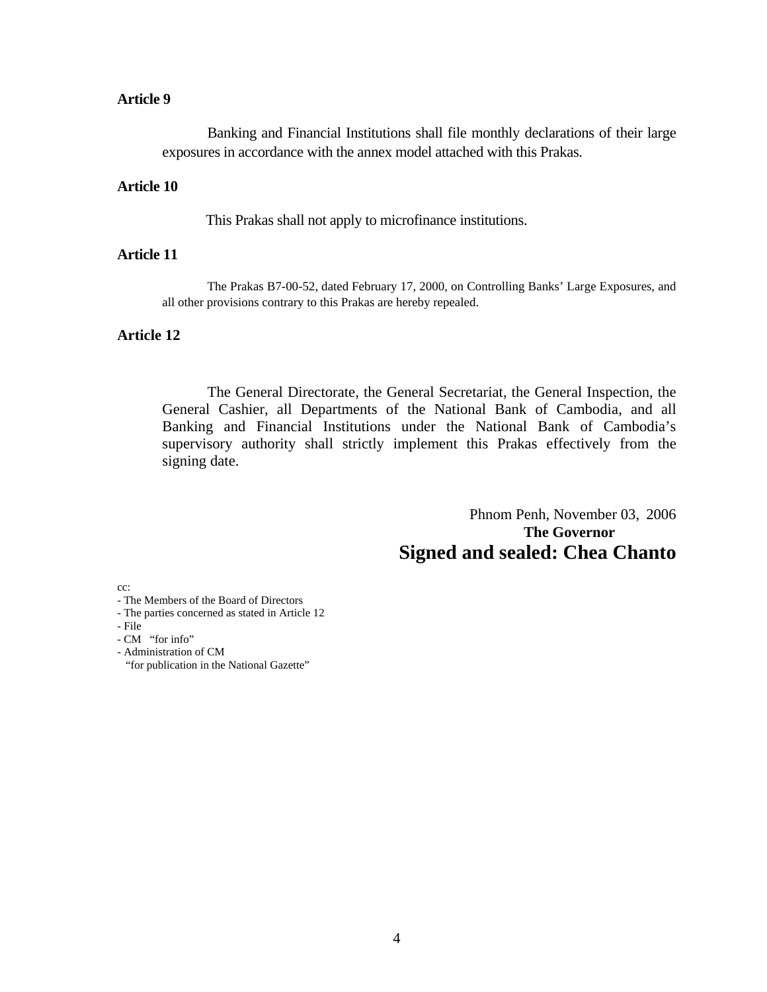Banking and Financial Institutions shall file monthly declarations of their large exposures in accordance with the annex model attached with this Prakas.

#### **Article 10**

This Prakas shall not apply to microfinance institutions.

#### **Article 11**

 The Prakas B7-00-52, dated February 17, 2000, on Controlling Banks' Large Exposures, and all other provisions contrary to this Prakas are hereby repealed.

#### **Article 12**

The General Directorate, the General Secretariat, the General Inspection, the General Cashier, all Departments of the National Bank of Cambodia, and all Banking and Financial Institutions under the National Bank of Cambodia's supervisory authority shall strictly implement this Prakas effectively from the signing date.

> Phnom Penh, November 03, 2006  **The Governor Signed and sealed: Chea Chanto**

cc:

- The parties concerned as stated in Article 12
- File
- CM "for info"
- Administration of CM
	- "for publication in the National Gazette"

<sup>-</sup> The Members of the Board of Directors